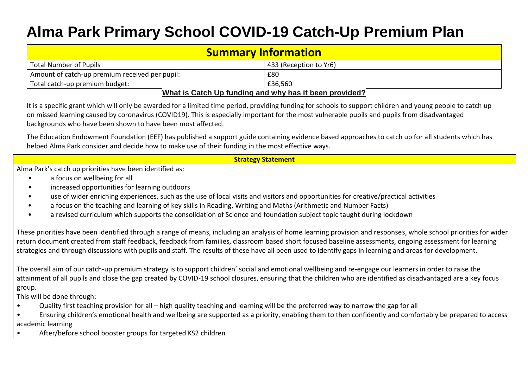## **Alma Park Primary School COVID-19 Catch-Up Premium Plan**

| <b>Summary Information</b>                              |     |  |  |  |  |
|---------------------------------------------------------|-----|--|--|--|--|
| <b>Total Number of Pupils</b><br>433 (Reception to Yr6) |     |  |  |  |  |
| Amount of catch-up premium received per pupil:          | £80 |  |  |  |  |
| Total catch-up premium budget:<br>l £36.560             |     |  |  |  |  |
| What is Catch Up funding and why has it been provided?  |     |  |  |  |  |

It is a specific grant which will only be awarded for a limited time period, providing funding for schools to support children and young people to catch up on missed learning caused by coronavirus (COVID19). This is especially important for the most vulnerable pupils and pupils from disadvantaged backgrounds who have been shown to have been most affected.

The Education Endowment Foundation (EEF) has published a support guide containing evidence based approaches to catch up for all students which has helped Alma Park consider and decide how to make use of their funding in the most effective ways.

## **Strategy Statement**

Alma Park's catch up priorities have been identified as:

- a focus on wellbeing for all
- increased opportunities for learning outdoors
- use of wider enriching experiences, such as the use of local visits and visitors and opportunities for creative/practical activities
- a focus on the teaching and learning of key skills in Reading, Writing and Maths (Arithmetic and Number Facts)
- a revised curriculum which supports the consolidation of Science and foundation subject topic taught during lockdown

These priorities have been identified through a range of means, including an analysis of home learning provision and responses, whole school priorities for wider return document created from staff feedback, feedback from families, classroom based short focused baseline assessments, ongoing assessment for learning strategies and through discussions with pupils and staff. The results of these have all been used to identify gaps in learning and areas for development.

The overall aim of our catch-up premium strategy is to support children' social and emotional wellbeing and re-engage our learners in order to raise the attainment of all pupils and close the gap created by COVID-19 school closures, ensuring that the children who are identified as disadvantaged are a key focus group.

This will be done through:

- Quality first teaching provision for all high quality teaching and learning will be the preferred way to narrow the gap for all
- Ensuring children's emotional health and wellbeing are supported as a priority, enabling them to then confidently and comfortably be prepared to access academic learning
- After/before school booster groups for targeted KS2 children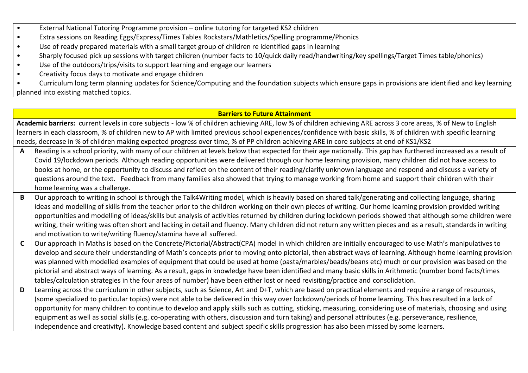- External National Tutoring Programme provision online tutoring for targeted KS2 children
- Extra sessions on Reading Eggs/Express/Times Tables Rockstars/Mathletics/Spelling programme/Phonics
- Use of ready prepared materials with a small target group of children re identified gaps in learning
- Sharply focused pick up sessions with target children (number facts to 10/quick daily read/handwriting/key spellings/Target Times table/phonics)
- Use of the outdoors/trips/visits to support learning and engage our learners
- Creativity focus days to motivate and engage children

• Curriculum long term planning updates for Science/Computing and the foundation subjects which ensure gaps in provisions are identified and key learning planned into existing matched topics.

## **Barriers to Future Attainment**

|              | Academic barriers: current levels in core subjects - low % of children achieving ARE, low % of children achieving ARE across 3 core areas, % of New to English  |  |  |  |  |  |
|--------------|-----------------------------------------------------------------------------------------------------------------------------------------------------------------|--|--|--|--|--|
|              | learners in each classroom, % of children new to AP with limited previous school experiences/confidence with basic skills, % of children with specific learning |  |  |  |  |  |
|              | needs, decrease in % of children making expected progress over time, % of PP children achieving ARE in core subjects at end of KS1/KS2                          |  |  |  |  |  |
| $\mathbf{A}$ | Reading is a school priority, with many of our children at levels below that expected for their age nationally. This gap has furthered increased as a result of |  |  |  |  |  |
|              | Covid 19/lockdown periods. Although reading opportunities were delivered through our home learning provision, many children did not have access to              |  |  |  |  |  |
|              | books at home, or the opportunity to discuss and reflect on the content of their reading/clarify unknown language and respond and discuss a variety of          |  |  |  |  |  |
|              | questions around the text. Feedback from many families also showed that trying to manage working from home and support their children with their                |  |  |  |  |  |
|              | home learning was a challenge.                                                                                                                                  |  |  |  |  |  |
| $\mathbf{B}$ | Our approach to writing in school is through the Talk4Writing model, which is heavily based on shared talk/generating and collecting language, sharing          |  |  |  |  |  |
|              | ideas and modelling of skills from the teacher prior to the children working on their own pieces of writing. Our home learning provision provided writing       |  |  |  |  |  |
|              | opportunities and modelling of ideas/skills but analysis of activities returned by children during lockdown periods showed that although some children were     |  |  |  |  |  |
|              | writing, their writing was often short and lacking in detail and fluency. Many children did not return any written pieces and as a result, standards in writing |  |  |  |  |  |
|              | and motivation to write/writing fluency/stamina have all suffered.                                                                                              |  |  |  |  |  |
| $\mathbf{C}$ | Our approach in Maths is based on the Concrete/Pictorial/Abstract(CPA) model in which children are initially encouraged to use Math's manipulatives to          |  |  |  |  |  |
|              | develop and secure their understanding of Math's concepts prior to moving onto pictorial, then abstract ways of learning. Although home learning provision      |  |  |  |  |  |
|              | was planned with modelled examples of equipment that could be used at home (pasta/marbles/beads/beans etc) much or our provision was based on the               |  |  |  |  |  |
|              | pictorial and abstract ways of learning. As a result, gaps in knowledge have been identified and many basic skills in Arithmetic (number bond facts/times       |  |  |  |  |  |
|              | tables/calculation strategies in the four areas of number) have been either lost or need revisiting/practice and consolidation.                                 |  |  |  |  |  |
| D            | Learning across the curriculum in other subjects, such as Science, Art and D+T, which are based on practical elements and require a range of resources,         |  |  |  |  |  |
|              | (some specialized to particular topics) were not able to be delivered in this way over lockdown/periods of home learning. This has resulted in a lack of        |  |  |  |  |  |
|              | opportunity for many children to continue to develop and apply skills such as cutting, sticking, measuring, considering use of materials, choosing and using    |  |  |  |  |  |
|              | equipment as well as social skills (e.g. co-operating with others, discussion and turn taking) and personal attributes (e.g. perseverance, resilience,          |  |  |  |  |  |
|              | independence and creativity). Knowledge based content and subject specific skills progression has also been missed by some learners.                            |  |  |  |  |  |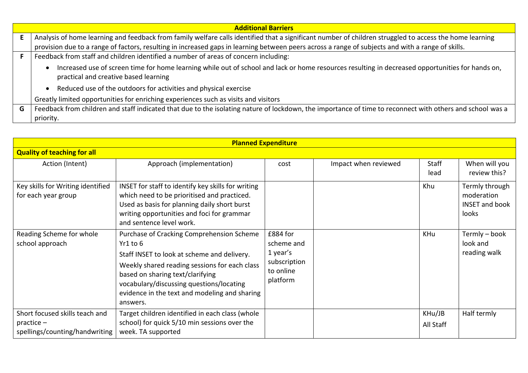|   | <b>Additional Barriers</b>                                                                                                                                                                |  |  |  |  |  |
|---|-------------------------------------------------------------------------------------------------------------------------------------------------------------------------------------------|--|--|--|--|--|
|   | Analysis of home learning and feedback from family welfare calls identified that a significant number of children struggled to access the home learning                                   |  |  |  |  |  |
|   | provision due to a range of factors, resulting in increased gaps in learning between peers across a range of subjects and with a range of skills.                                         |  |  |  |  |  |
|   | Feedback from staff and children identified a number of areas of concern including:                                                                                                       |  |  |  |  |  |
|   | Increased use of screen time for home learning while out of school and lack or home resources resulting in decreased opportunities for hands on,<br>practical and creative based learning |  |  |  |  |  |
|   | Reduced use of the outdoors for activities and physical exercise                                                                                                                          |  |  |  |  |  |
|   | Greatly limited opportunities for enriching experiences such as visits and visitors                                                                                                       |  |  |  |  |  |
| G | Feedback from children and staff indicated that due to the isolating nature of lockdown, the importance of time to reconnect with others and school was a                                 |  |  |  |  |  |
|   | priority.                                                                                                                                                                                 |  |  |  |  |  |

| <b>Planned Expenditure</b>                                                       |                                                                                                                                                                                                                                                                                                    |                                                                             |                      |                      |                                                                |  |  |
|----------------------------------------------------------------------------------|----------------------------------------------------------------------------------------------------------------------------------------------------------------------------------------------------------------------------------------------------------------------------------------------------|-----------------------------------------------------------------------------|----------------------|----------------------|----------------------------------------------------------------|--|--|
| <b>Quality of teaching for all</b>                                               |                                                                                                                                                                                                                                                                                                    |                                                                             |                      |                      |                                                                |  |  |
| Action (Intent)                                                                  | Approach (implementation)                                                                                                                                                                                                                                                                          | cost                                                                        | Impact when reviewed | <b>Staff</b><br>lead | When will you<br>review this?                                  |  |  |
| Key skills for Writing identified<br>for each year group                         | INSET for staff to identify key skills for writing<br>which need to be prioritised and practiced.<br>Used as basis for planning daily short burst<br>writing opportunities and foci for grammar<br>and sentence level work.                                                                        |                                                                             |                      | Khu                  | Termly through<br>moderation<br><b>INSET and book</b><br>looks |  |  |
| Reading Scheme for whole<br>school approach                                      | Purchase of Cracking Comprehension Scheme<br>Yr1 to 6<br>Staff INSET to look at scheme and delivery.<br>Weekly shared reading sessions for each class<br>based on sharing text/clarifying<br>vocabulary/discussing questions/locating<br>evidence in the text and modeling and sharing<br>answers. | £884 for<br>scheme and<br>1 year's<br>subscription<br>to online<br>platform |                      | <b>KHu</b>           | Termly - book<br>look and<br>reading walk                      |  |  |
| Short focused skills teach and<br>$practive -$<br>spellings/counting/handwriting | Target children identified in each class (whole<br>school) for quick 5/10 min sessions over the<br>week. TA supported                                                                                                                                                                              |                                                                             |                      | KHu/JB<br>All Staff  | Half termly                                                    |  |  |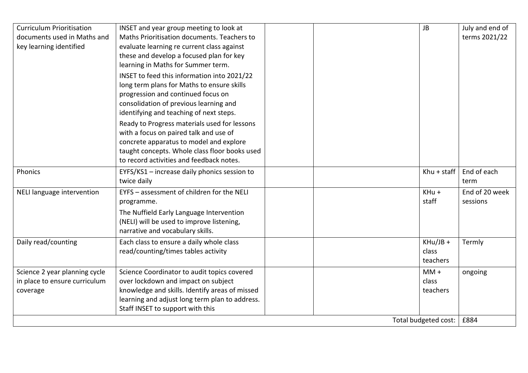| <b>Curriculum Prioritisation</b> | INSET and year group meeting to look at        |  | <b>JB</b>            | July and end of |
|----------------------------------|------------------------------------------------|--|----------------------|-----------------|
| documents used in Maths and      | Maths Prioritisation documents. Teachers to    |  |                      | terms 2021/22   |
| key learning identified          | evaluate learning re current class against     |  |                      |                 |
|                                  | these and develop a focused plan for key       |  |                      |                 |
|                                  | learning in Maths for Summer term.             |  |                      |                 |
|                                  | INSET to feed this information into 2021/22    |  |                      |                 |
|                                  | long term plans for Maths to ensure skills     |  |                      |                 |
|                                  | progression and continued focus on             |  |                      |                 |
|                                  | consolidation of previous learning and         |  |                      |                 |
|                                  | identifying and teaching of next steps.        |  |                      |                 |
|                                  | Ready to Progress materials used for lessons   |  |                      |                 |
|                                  | with a focus on paired talk and use of         |  |                      |                 |
|                                  | concrete apparatus to model and explore        |  |                      |                 |
|                                  | taught concepts. Whole class floor books used  |  |                      |                 |
|                                  | to record activities and feedback notes.       |  |                      |                 |
| Phonics                          | EYFS/KS1 - increase daily phonics session to   |  | Khu + staff          | End of each     |
|                                  | twice daily                                    |  |                      | term            |
| NELI language intervention       | EYFS - assessment of children for the NELI     |  | KHu +                | End of 20 week  |
|                                  | programme.                                     |  | staff                | sessions        |
|                                  | The Nuffield Early Language Intervention       |  |                      |                 |
|                                  | (NELI) will be used to improve listening,      |  |                      |                 |
|                                  | narrative and vocabulary skills.               |  |                      |                 |
| Daily read/counting              | Each class to ensure a daily whole class       |  | $KHu/JB +$           | Termly          |
|                                  | read/counting/times tables activity            |  | class                |                 |
|                                  |                                                |  | teachers             |                 |
| Science 2 year planning cycle    | Science Coordinator to audit topics covered    |  | $MM +$               | ongoing         |
| in place to ensure curriculum    | over lockdown and impact on subject            |  | class                |                 |
| coverage                         | knowledge and skills. Identify areas of missed |  | teachers             |                 |
|                                  | learning and adjust long term plan to address. |  |                      |                 |
|                                  | Staff INSET to support with this               |  |                      |                 |
|                                  |                                                |  | Total budgeted cost: | £884            |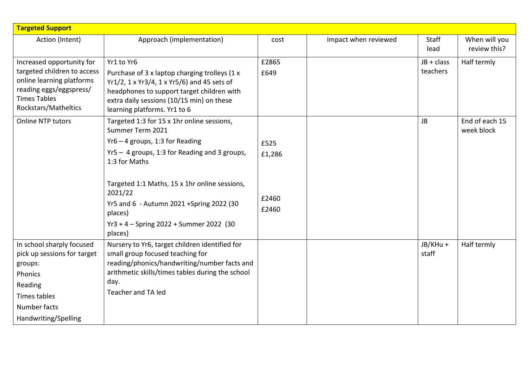| <b>Targeted Support</b>                                  |                                                                                           |        |                      |                   |                |
|----------------------------------------------------------|-------------------------------------------------------------------------------------------|--------|----------------------|-------------------|----------------|
| Action (Intent)                                          | Approach (implementation)                                                                 | cost   | Impact when reviewed | Staff             | When will you  |
|                                                          |                                                                                           |        |                      | lead              | review this?   |
| Increased opportunity for                                | Yr1 to Yr6                                                                                | £2865  |                      | JB + class        | Half termly    |
| targeted children to access<br>online learning platforms | Purchase of 3 x laptop charging trolleys (1 x                                             | £649   |                      | teachers          |                |
| reading eggs/eggspress/                                  | Yr1/2, 1 x Yr3/4, 1 x Yr5/6) and 45 sets of<br>headphones to support target children with |        |                      |                   |                |
| <b>Times Tables</b>                                      | extra daily sessions (10/15 min) on these                                                 |        |                      |                   |                |
| Rockstars/Matheltics                                     | learning platforms. Yr1 to 6                                                              |        |                      |                   |                |
| <b>Online NTP tutors</b>                                 | Targeted 1:3 for 15 x 1hr online sessions,                                                |        |                      | <b>JB</b>         | End of each 15 |
|                                                          | Summer Term 2021                                                                          |        |                      |                   | week block     |
|                                                          | $Yr6 - 4$ groups, 1:3 for Reading                                                         | £525   |                      |                   |                |
|                                                          | Yr5 - 4 groups, 1:3 for Reading and 3 groups,<br>1:3 for Maths                            | £1,286 |                      |                   |                |
|                                                          |                                                                                           |        |                      |                   |                |
|                                                          | Targeted 1:1 Maths, 15 x 1hr online sessions,                                             |        |                      |                   |                |
|                                                          | 2021/22                                                                                   |        |                      |                   |                |
|                                                          | Yr5 and 6 - Autumn 2021 + Spring 2022 (30                                                 | £2460  |                      |                   |                |
|                                                          | places)                                                                                   | £2460  |                      |                   |                |
|                                                          | Yr3 + 4 - Spring 2022 + Summer 2022 (30                                                   |        |                      |                   |                |
|                                                          | places)                                                                                   |        |                      |                   |                |
| In school sharply focused<br>pick up sessions for target | Nursery to Yr6, target children identified for<br>small group focused teaching for        |        |                      | JB/KHu +<br>staff | Half termly    |
| groups:                                                  | reading/phonics/handwriting/number facts and                                              |        |                      |                   |                |
| Phonics                                                  | arithmetic skills/times tables during the school                                          |        |                      |                   |                |
| Reading                                                  | day.                                                                                      |        |                      |                   |                |
| <b>Times tables</b>                                      | Teacher and TA led                                                                        |        |                      |                   |                |
| Number facts                                             |                                                                                           |        |                      |                   |                |
| Handwriting/Spelling                                     |                                                                                           |        |                      |                   |                |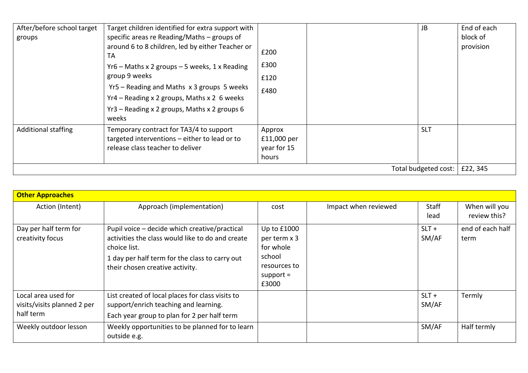| After/before school target<br>groups | Target children identified for extra support with<br>specific areas re Reading/Maths – groups of<br>around 6 to 8 children, led by either Teacher or<br><b>TA</b><br>$Yr6$ – Maths x 2 groups – 5 weeks, 1 x Reading<br>group 9 weeks<br>Yr5 - Reading and Maths x 3 groups 5 weeks<br>Yr4 - Reading x 2 groups, Maths x 2 6 weeks<br>Yr3 – Reading x 2 groups, Maths x 2 groups 6<br>weeks | £200<br>£300<br>£120<br>£480                  |  | JB         | End of each<br>block of<br>provision |
|--------------------------------------|---------------------------------------------------------------------------------------------------------------------------------------------------------------------------------------------------------------------------------------------------------------------------------------------------------------------------------------------------------------------------------------------|-----------------------------------------------|--|------------|--------------------------------------|
| <b>Additional staffing</b>           | Temporary contract for TA3/4 to support<br>targeted interventions - either to lead or to<br>release class teacher to deliver                                                                                                                                                                                                                                                                | Approx<br>£11,000 per<br>year for 15<br>hours |  | <b>SLT</b> |                                      |
| Total budgeted cost:                 |                                                                                                                                                                                                                                                                                                                                                                                             |                                               |  | £22,345    |                                      |

| <b>Other Approaches</b>                                         |                                                                                                                                                                                                        |                                                                                            |                      |                      |                               |  |
|-----------------------------------------------------------------|--------------------------------------------------------------------------------------------------------------------------------------------------------------------------------------------------------|--------------------------------------------------------------------------------------------|----------------------|----------------------|-------------------------------|--|
| Action (Intent)                                                 | Approach (implementation)                                                                                                                                                                              | cost                                                                                       | Impact when reviewed | <b>Staff</b><br>lead | When will you<br>review this? |  |
| Day per half term for<br>creativity focus                       | Pupil voice - decide which creative/practical<br>activities the class would like to do and create<br>choice list.<br>1 day per half term for the class to carry out<br>their chosen creative activity. | Up to £1000<br>per term x 3<br>for whole<br>school<br>resources to<br>$support =$<br>£3000 |                      | $SLT +$<br>SM/AF     | end of each half<br>term      |  |
| Local area used for<br>visits/visits planned 2 per<br>half term | List created of local places for class visits to<br>support/enrich teaching and learning.<br>Each year group to plan for 2 per half term                                                               |                                                                                            |                      | $SLT +$<br>SM/AF     | Termly                        |  |
| Weekly outdoor lesson                                           | Weekly opportunities to be planned for to learn<br>outside e.g.                                                                                                                                        |                                                                                            |                      | SM/AF                | Half termly                   |  |